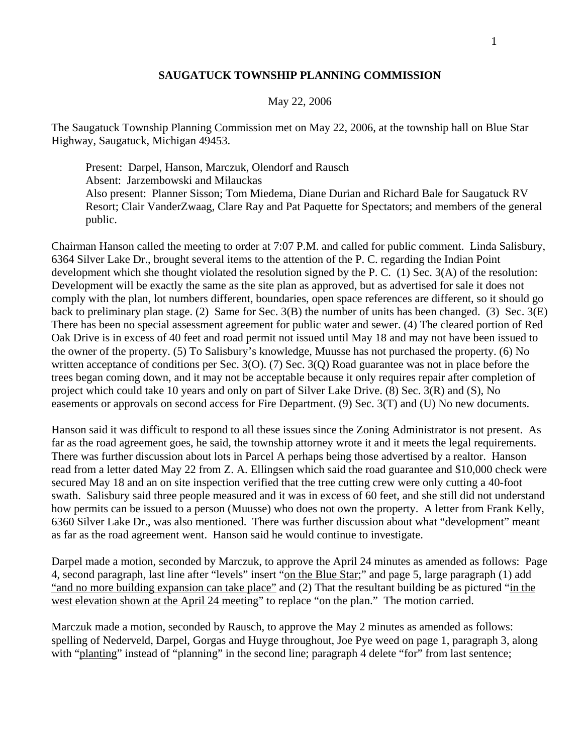## **SAUGATUCK TOWNSHIP PLANNING COMMISSION**

## May 22, 2006

The Saugatuck Township Planning Commission met on May 22, 2006, at the township hall on Blue Star Highway, Saugatuck, Michigan 49453.

 Present: Darpel, Hanson, Marczuk, Olendorf and Rausch Absent: Jarzembowski and Milauckas Also present: Planner Sisson; Tom Miedema, Diane Durian and Richard Bale for Saugatuck RV Resort; Clair VanderZwaag, Clare Ray and Pat Paquette for Spectators; and members of the general public.

Chairman Hanson called the meeting to order at 7:07 P.M. and called for public comment. Linda Salisbury, 6364 Silver Lake Dr., brought several items to the attention of the P. C. regarding the Indian Point development which she thought violated the resolution signed by the P. C. (1) Sec. 3(A) of the resolution: Development will be exactly the same as the site plan as approved, but as advertised for sale it does not comply with the plan, lot numbers different, boundaries, open space references are different, so it should go back to preliminary plan stage. (2) Same for Sec. 3(B) the number of units has been changed. (3) Sec. 3(E) There has been no special assessment agreement for public water and sewer. (4) The cleared portion of Red Oak Drive is in excess of 40 feet and road permit not issued until May 18 and may not have been issued to the owner of the property. (5) To Salisbury's knowledge, Muusse has not purchased the property. (6) No written acceptance of conditions per Sec. 3(O). (7) Sec. 3(Q) Road guarantee was not in place before the trees began coming down, and it may not be acceptable because it only requires repair after completion of project which could take 10 years and only on part of Silver Lake Drive. (8) Sec. 3(R) and (S), No easements or approvals on second access for Fire Department. (9) Sec. 3(T) and (U) No new documents.

Hanson said it was difficult to respond to all these issues since the Zoning Administrator is not present. As far as the road agreement goes, he said, the township attorney wrote it and it meets the legal requirements. There was further discussion about lots in Parcel A perhaps being those advertised by a realtor. Hanson read from a letter dated May 22 from Z. A. Ellingsen which said the road guarantee and \$10,000 check were secured May 18 and an on site inspection verified that the tree cutting crew were only cutting a 40-foot swath. Salisbury said three people measured and it was in excess of 60 feet, and she still did not understand how permits can be issued to a person (Muusse) who does not own the property. A letter from Frank Kelly, 6360 Silver Lake Dr., was also mentioned. There was further discussion about what "development" meant as far as the road agreement went. Hanson said he would continue to investigate.

Darpel made a motion, seconded by Marczuk, to approve the April 24 minutes as amended as follows: Page 4, second paragraph, last line after "levels" insert "on the Blue Star;" and page 5, large paragraph (1) add "and no more building expansion can take place" and (2) That the resultant building be as pictured "in the west elevation shown at the April 24 meeting" to replace "on the plan." The motion carried.

Marczuk made a motion, seconded by Rausch, to approve the May 2 minutes as amended as follows: spelling of Nederveld, Darpel, Gorgas and Huyge throughout, Joe Pye weed on page 1, paragraph 3, along with "planting" instead of "planning" in the second line; paragraph 4 delete "for" from last sentence;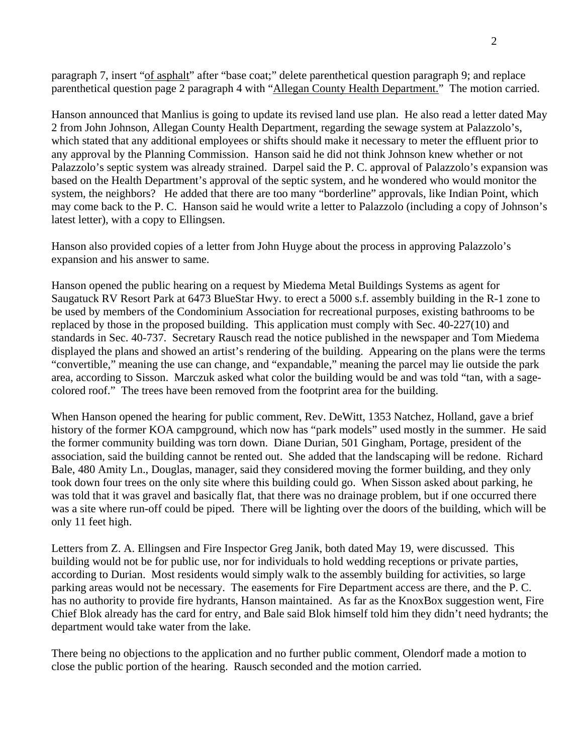paragraph 7, insert "of asphalt" after "base coat;" delete parenthetical question paragraph 9; and replace parenthetical question page 2 paragraph 4 with "Allegan County Health Department." The motion carried.

Hanson announced that Manlius is going to update its revised land use plan. He also read a letter dated May 2 from John Johnson, Allegan County Health Department, regarding the sewage system at Palazzolo's, which stated that any additional employees or shifts should make it necessary to meter the effluent prior to any approval by the Planning Commission. Hanson said he did not think Johnson knew whether or not Palazzolo's septic system was already strained. Darpel said the P. C. approval of Palazzolo's expansion was based on the Health Department's approval of the septic system, and he wondered who would monitor the system, the neighbors? He added that there are too many "borderline" approvals, like Indian Point, which may come back to the P. C. Hanson said he would write a letter to Palazzolo (including a copy of Johnson's latest letter), with a copy to Ellingsen.

Hanson also provided copies of a letter from John Huyge about the process in approving Palazzolo's expansion and his answer to same.

Hanson opened the public hearing on a request by Miedema Metal Buildings Systems as agent for Saugatuck RV Resort Park at 6473 BlueStar Hwy. to erect a 5000 s.f. assembly building in the R-1 zone to be used by members of the Condominium Association for recreational purposes, existing bathrooms to be replaced by those in the proposed building. This application must comply with Sec. 40-227(10) and standards in Sec. 40-737. Secretary Rausch read the notice published in the newspaper and Tom Miedema displayed the plans and showed an artist's rendering of the building. Appearing on the plans were the terms "convertible," meaning the use can change, and "expandable," meaning the parcel may lie outside the park area, according to Sisson. Marczuk asked what color the building would be and was told "tan, with a sagecolored roof." The trees have been removed from the footprint area for the building.

When Hanson opened the hearing for public comment, Rev. DeWitt, 1353 Natchez, Holland, gave a brief history of the former KOA campground, which now has "park models" used mostly in the summer. He said the former community building was torn down. Diane Durian, 501 Gingham, Portage, president of the association, said the building cannot be rented out. She added that the landscaping will be redone. Richard Bale, 480 Amity Ln., Douglas, manager, said they considered moving the former building, and they only took down four trees on the only site where this building could go. When Sisson asked about parking, he was told that it was gravel and basically flat, that there was no drainage problem, but if one occurred there was a site where run-off could be piped. There will be lighting over the doors of the building, which will be only 11 feet high.

Letters from Z. A. Ellingsen and Fire Inspector Greg Janik, both dated May 19, were discussed. This building would not be for public use, nor for individuals to hold wedding receptions or private parties, according to Durian. Most residents would simply walk to the assembly building for activities, so large parking areas would not be necessary. The easements for Fire Department access are there, and the P. C. has no authority to provide fire hydrants, Hanson maintained. As far as the KnoxBox suggestion went, Fire Chief Blok already has the card for entry, and Bale said Blok himself told him they didn't need hydrants; the department would take water from the lake.

There being no objections to the application and no further public comment, Olendorf made a motion to close the public portion of the hearing. Rausch seconded and the motion carried.